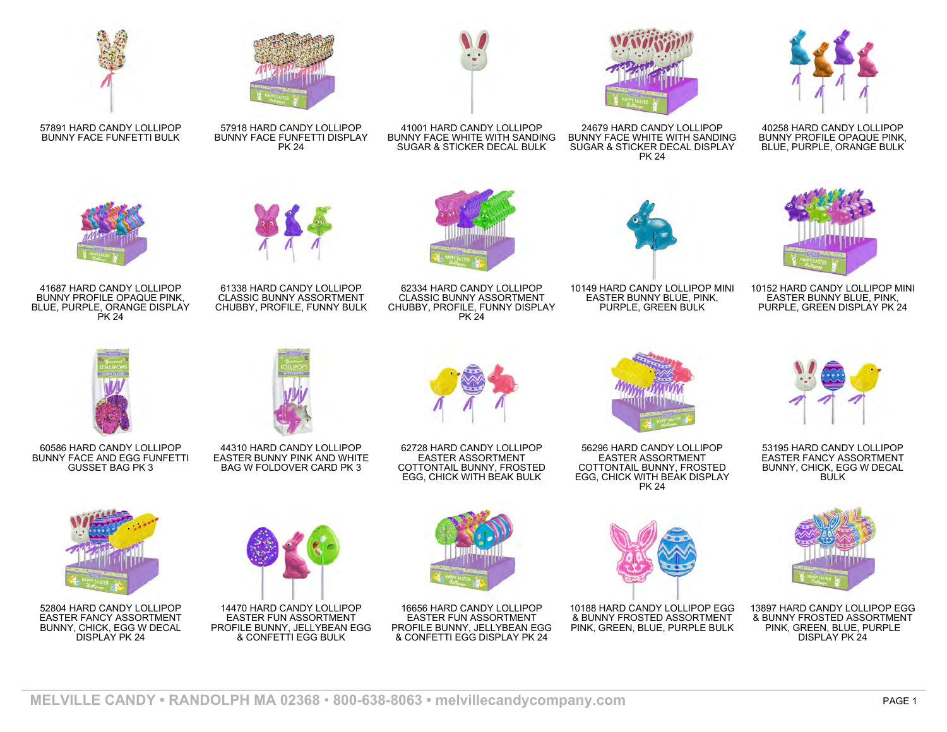

57891 HARD CANDY LOLLIPOP BUNNY FACE FUNFETTI BULK



57918 HARD CANDY LOLLIPOP BUNNY FACE FUNFETTI DISPLAY

PK 24



41001 HARD CANDY LOLLIPOP BUNNY FACE WHITE WITH SANDING SUGAR & STICKER DECAL BULK



24679 HARD CANDY LOLLIPOP BUNNY FACE WHITE WITH SANDING SUGAR & STICKER DECAL DISPLAY PK 24



40258 HARD CANDY LOLLIPOP BUNNY PROFILE OPAQUE PINK, BLUE, PURPLE, ORANGE BULK



41687 HARD CANDY LOLLIPOP BUNNY PROFILE OPAQUE PINK, BLUE, PURPLE, ORANGE DISPLAY PK 24



61338 HARD CANDY LOLLIPOP CLASSIC BUNNY ASSORTMENT CHUBBY, PROFILE, FUNNY BULK



62334 HARD CANDY LOLLIPOP CLASSIC BUNNY ASSORTMENT CHUBBY, PROFILE, FUNNY DISPLAY PK 24



10149 HARD CANDY LOLLIPOP MINI EASTER BUNNY BLUE, PINK, PURPLE, GREEN BULK



10152 HARD CANDY LOLLIPOP MINI EASTER BUNNY BLUE, PINK, PURPLE, GREEN DISPLAY PK 24



60586 HARD CANDY LOLLIPOP BUNNY FACE AND EGG FUNFETTI GUSSET BAG PK 3



44310 HARD CANDY LOLLIPOP EASTER BUNNY PINK AND WHITE BAG W FOLDOVER CARD PK 3



62728 HARD CANDY LOLLIPOP EASTER ASSORTMENT COTTONTAIL BUNNY, FROSTED EGG, CHICK WITH BEAK BULK



56296 HARD CANDY LOLLIPOP EASTER ASSORTMENT COTTONTAIL BUNNY, FROSTED EGG, CHICK WITH BEAK DISPLAY PK 24



53195 HARD CANDY LOLLIPOP EASTER FANCY ASSORTMENT BUNNY, CHICK, EGG W DECAL BULK



13897 HARD CANDY LOLLIPOP EGG & BUNNY FROSTED ASSORTMENT PINK, GREEN, BLUE, PURPLE DISPLAY PK 24



52804 HARD CANDY LOLLIPOP EASTER FANCY ASSORTMENT BUNNY, CHICK, EGG W DECAL DISPLAY PK 24



14470 HARD CANDY LOLLIPOP EASTER FUN ASSORTMENT PROFILE BUNNY, JELLYBEAN EGG & CONFETTI EGG BULK



16656 HARD CANDY LOLLIPOP EASTER FUN ASSORTMENT PROFILE BUNNY, JELLYBEAN EGG & CONFETTI EGG DISPLAY PK 24



10188 HARD CANDY LOLLIPOP EGG & BUNNY FROSTED ASSORTMENT PINK, GREEN, BLUE, PURPLE BULK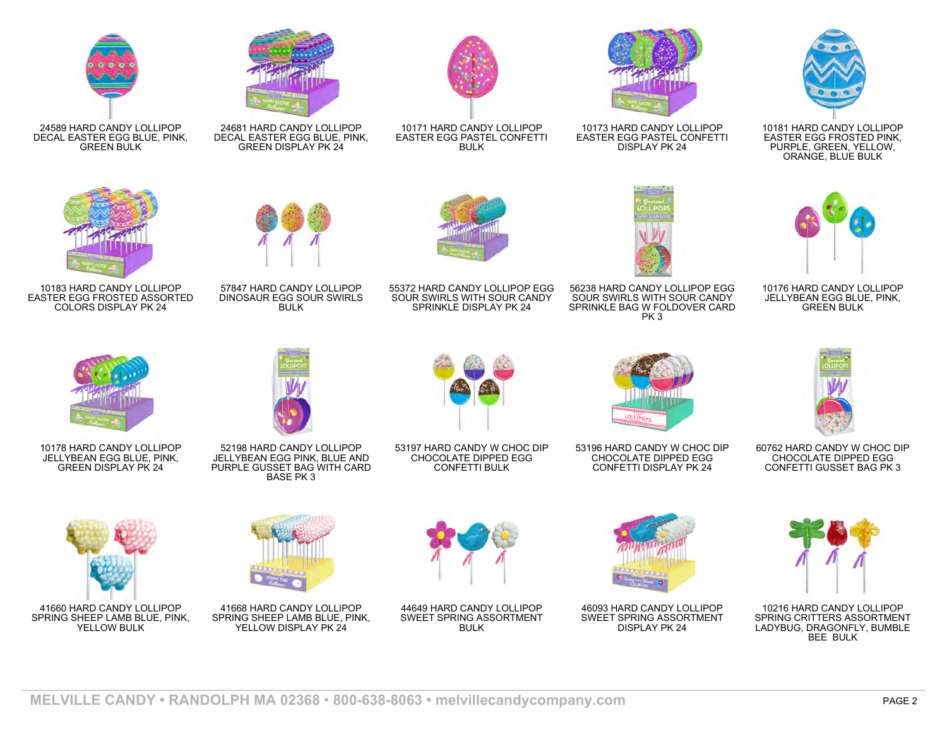

24589 HARD CANDY LOLLIPOP

GREEN BULK

DECAL EASTER EGG BLUE, PINK, 24681 HARD CANDY LOLLIPOP DECAL EASTER EGG BLUE, PINK, GREEN DISPLAY PK 24



10171 HARD CANDY LOLLIPOP EASTER EGG PASTEL CONFETTI **BULK** 



10173 HARD CANDY LOLLIPOP EASTER EGG PASTEL CONFETTI DISPLAY PK 24



10181 HARD CANDY LOLLIPOP EASTER EGG FROSTED PINK, PURPLE, GREEN, YELLOW, ORANGE, BLUE BULK



10183 HARD CANDY LOLLIPOP EASTER EGG FROSTED ASSORTED COLORS DISPLAY PK 24



57847 HARD CANDY LOLLIPOP DINOSAUR EGG SOUR SWIRLS **BULK** 



55372 HARD CANDY LOLLIPOP EGG SOUR SWIRLS WITH SOUR CANDY SPRINKLE DISPLAY PK 24



56238 HARD CANDY LOLLIPOP EGG SOUR SWIRLS WITH SOUR CANDY SPRINKLE BAG W FOLDOVER CARD PK 3



10176 HARD CANDY LOLLIPOP JELLYBEAN EGG BLUE, PINK, GREEN BULK



10178 HARD CANDY LOLLIPOP JELLYBEAN EGG BLUE, PINK, GREEN DISPLAY PK 24





41660 HARD CANDY LOLLIPOP SPRING SHEEP LAMB BLUE, PINK, YELLOW BULK



52198 HARD CANDY LOLLIPOP JELLYBEAN EGG PINK, BLUE AND PURPLE GUSSET BAG WITH CARD BASE PK 3

41668 HARD CANDY LOLLIPOP SPRING SHEEP LAMB BLUE, PINK, YELLOW DISPLAY PK 24



53197 HARD CANDY W CHOC DIP CHOCOLATE DIPPED EGG CONFETTI BULK

44649 HARD CANDY LOLLIPOP SWEET SPRING ASSORTMENT **BULK** 



53196 HARD CANDY W CHOC DIP CHOCOLATE DIPPED EGG CONFETTI DISPLAY PK 24



60762 HARD CANDY W CHOC DIP CHOCOLATE DIPPED EGG CONFETTI GUSSET BAG PK 3



46093 HARD CANDY LOLLIPOP SWEET SPRING ASSORTMENT DISPLAY PK 24



10216 HARD CANDY LOLLIPOP SPRING CRITTERS ASSORTMENT LADYBUG, DRAGONFLY, BUMBLE BEE BULK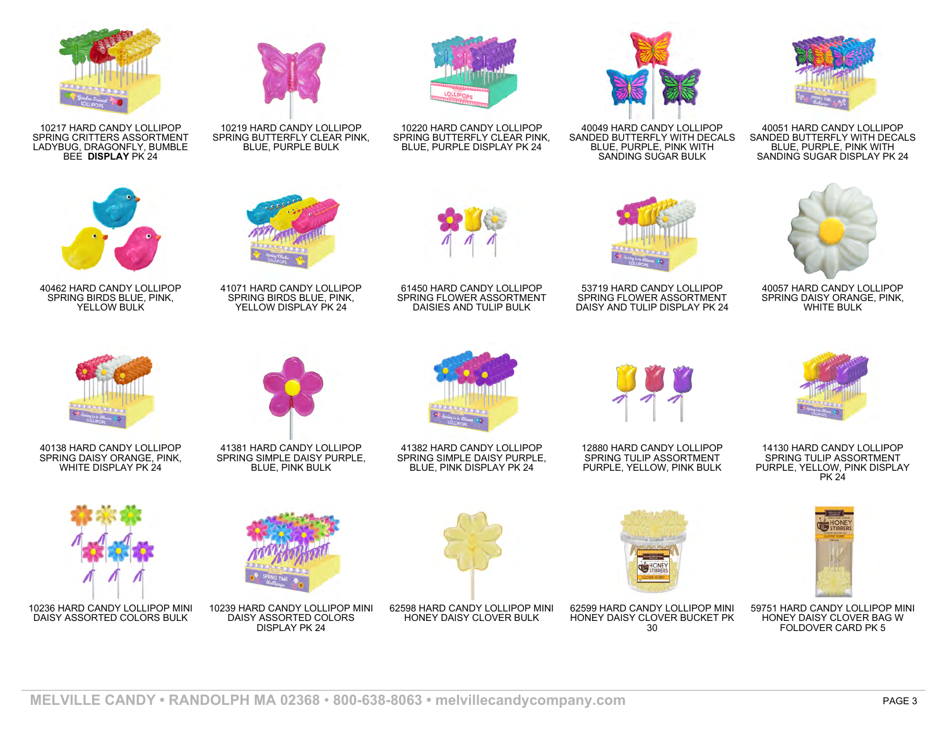

10217 HARD CANDY LOLLIPOP SPRING CRITTERS ASSORTMENT LADYBUG, DRAGONFLY, BUMBLE BEE **DISPLAY** PK 24



10219 HARD CANDY LOLLIPOP SPRING BUTTERFLY CLEAR PINK, BLUE, PURPLE BULK



10220 HARD CANDY LOLLIPOP SPRING BUTTERFLY CLEAR PINK, BLUE, PURPLE DISPLAY PK 24



40049 HARD CANDY LOLLIPOP SANDED BUTTERFLY WITH DECALS BLUE, PURPLE, PINK WITH SANDING SUGAR BULK



40051 HARD CANDY LOLLIPOP SANDED BUTTERFLY WITH DECALS BLUE, PURPLE, PINK WITH SANDING SUGAR DISPLAY PK 24



40462 HARD CANDY LOLLIPOP SPRING BIRDS BLUE, PINK, YELLOW BULK



41071 HARD CANDY LOLLIPOP SPRING BIRDS BLUE, PINK, YELLOW DISPLAY PK 24



61450 HARD CANDY LOLLIPOP SPRING FLOWER ASSORTMENT DAISIES AND TULIP BULK



53719 HARD CANDY LOLLIPOP SPRING FLOWER ASSORTMENT DAISY AND TULIP DISPLAY PK 24



40057 HARD CANDY LOLLIPOP SPRING DAISY ORANGE, PINK, WHITE BULK



40138 HARD CANDY LOLLIPOP SPRING DAISY ORANGE, PINK,

10236 HARD CANDY LOLLIPOP MINI DAISY ASSORTED COLORS BULK



WHITE DISPLAY PK 24



41381 HARD CANDY LOLLIPOP SPRING SIMPLE DAISY PURPLE, BLUE, PINK BULK



41382 HARD CANDY LOLLIPOP SPRING SIMPLE DAISY PURPLE, BLUE, PINK DISPLAY PK 24



12880 HARD CANDY LOLLIPOP SPRING TULIP ASSORTMENT PURPLE, YELLOW, PINK BULK

62599 HARD CANDY LOLLIPOP MINI HONEY DAISY CLOVER BUCKET PK  $\overline{30}$ 



14130 HARD CANDY LOLLIPOP SPRING TULIP ASSORTMENT PURPLE, YELLOW, PINK DISPLAY PK 24



59751 HARD CANDY LOLLIPOP MINI HONEY DAISY CLOVER BAG W FOLDOVER CARD PK 5



10239 HARD CANDY LOLLIPOP MINI DAISY ASSORTED COLORS DISPLAY PK 24

62598 HARD CANDY LOLLIPOP MINI HONEY DAISY CLOVER BULK

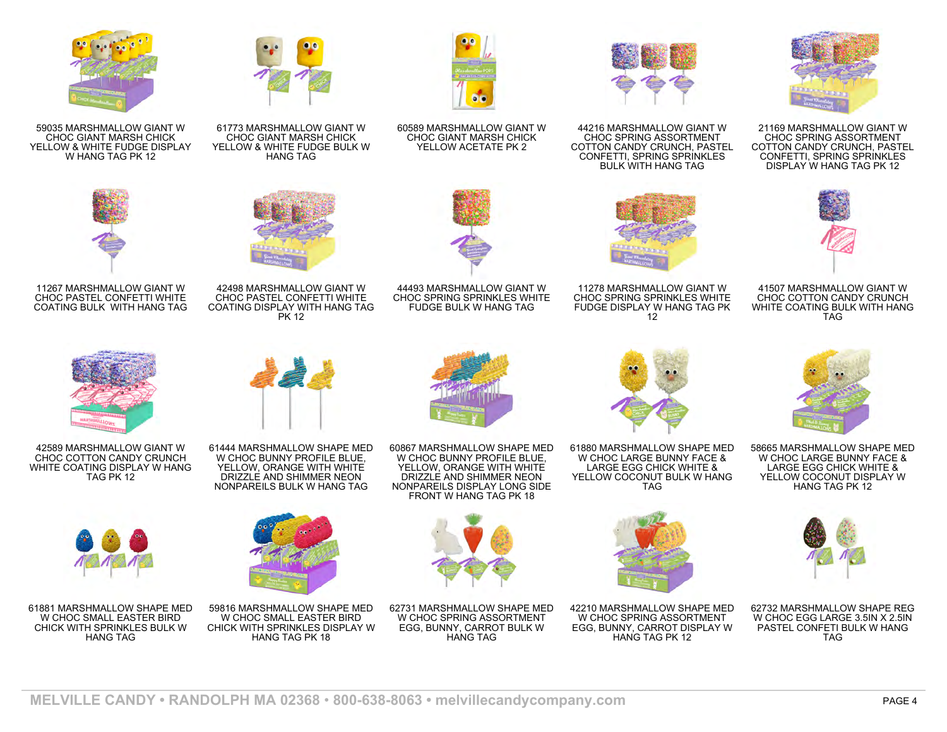





41507 MARSHMALLOW GIANT W CHOC COTTON CANDY CRUNCH WHITE COATING BULK WITH HANG TAG



58665 MARSHMALLOW SHAPE MED W CHOC LARGE BUNNY FACE & LARGE EGG CHICK WHITE & YELLOW COCONUT DISPLAY W HANG TAG PK 12



62732 MARSHMALLOW SHAPE REG W CHOC EGG LARGE 3.5IN X 2.5IN PASTEL CONFETI BULK W HANG TAG



44216 MARSHMALLOW GIANT W CHOC SPRING ASSORTMENT COTTON CANDY CRUNCH, PASTEL CONFETTI, SPRING SPRINKLES BULK WITH HANG TAG



11278 MARSHMALLOW GIANT W CHOC SPRING SPRINKLES WHITE FUDGE DISPLAY W HANG TAG PK 12



60589 MARSHMALLOW GIANT W CHOC GIANT MARSH CHICK YELLOW ACETATE PK 2



44493 MARSHMALLOW GIANT W CHOC SPRING SPRINKLES WHITE FUDGE BULK W HANG TAG



61773 MARSHMALLOW GIANT W CHOC GIANT MARSH CHICK YELLOW & WHITE FUDGE BULK W HANG TAG

42498 MARSHMALLOW GIANT W CHOC PASTEL CONFETTI WHITE COATING DISPLAY WITH HANG TAG PK 12



CHOC GIANT MARSH CHICK YELLOW & WHITE FUDGE DISPLAY W HANG TAG PK 12



11267 MARSHMALLOW GIANT W CHOC PASTEL CONFETTI WHITE COATING BULK WITH HANG TAG



42589 MARSHMALLOW GIANT W CHOC COTTON CANDY CRUNCH WHITE COATING DISPLAY W HANG TAG PK 12



61881 MARSHMALLOW SHAPE MED W CHOC SMALL EASTER BIRD CHICK WITH SPRINKLES BULK W HANG TAG



61444 MARSHMALLOW SHAPE MED W CHOC BUNNY PROFILE BLUE, YELLOW, ORANGE WITH WHITE DRIZZLE AND SHIMMER NEON NONPAREILS BULK W HANG TAG



59816 MARSHMALLOW SHAPE MED W CHOC SMALL EASTER BIRD CHICK WITH SPRINKLES DISPLAY W HANG TAG PK 18

60867 MARSHMALLOW SHAPE MED W CHOC BUNNY PROFILE BLUE, YELLOW, ORANGE WITH WHITE DRIZZLE AND SHIMMER NEON NONPAREILS DISPLAY LONG SIDE FRONT W HANG TAG PK 18



62731 MARSHMALLOW SHAPE MED W CHOC SPRING ASSORTMENT EGG, BUNNY, CARROT BULK W HANG TAG



61880 MARSHMALLOW SHAPE MED W CHOC LARGE BUNNY FACE & LARGE EGG CHICK WHITE & YELLOW COCONUT BULK W HANG



42210 MARSHMALLOW SHAPE MED W CHOC SPRING ASSORTMENT EGG, BUNNY, CARROT DISPLAY W HANG TAG PK 12









TAG

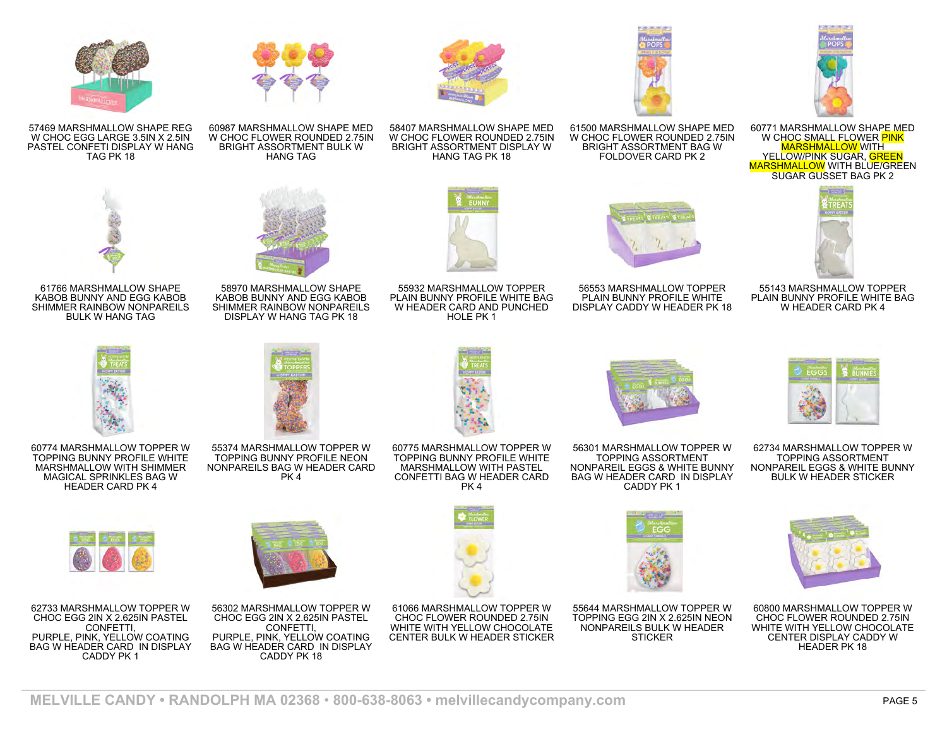

60771 MARSHMALLOW SHAPE MED W CHOC SMALL FLOWER PINK MARSHMALLOW WITH YELLOW/PINK SUGAR, GREEN **MARSHMALLOW WITH BLUE/GREEN** SUGAR GUSSET BAG PK 2



55143 MARSHMALLOW TOPPER PLAIN BUNNY PROFILE WHITE BAG W HEADER CARD PK 4



61500 MARSHMALLOW SHAPE MED W CHOC FLOWER ROUNDED 2.75IN BRIGHT ASSORTMENT BAG W FOLDOVER CARD PK 2

58407 MARSHMALLOW SHAPE MED W CHOC FLOWER ROUNDED 2.75IN BRIGHT ASSORTMENT DISPLAY W HANG TAG PK 18

55932 MARSHMALLOW TOPPER PLAIN BUNNY PROFILE WHITE BAG W HEADER CARD AND PUNCHED HOLE PK 1

60775 MARSHMALLOW TOPPER W TOPPING BUNNY PROFILE WHITE MARSHMALLOW WITH PASTEL CONFETTI BAG W HEADER CARD PK 4







W CHOC FLOWER ROUNDED 2.75IN BRIGHT ASSORTMENT BULK W HANG TAG



58970 MARSHMALLOW SHAPE KABOB BUNNY AND EGG KABOB SHIMMER RAINBOW NONPAREILS DISPLAY W HANG TAG PK 18



55374 MARSHMALLOW TOPPER W TOPPING BUNNY PROFILE NEON NONPAREILS BAG W HEADER CARD PK 4







60774 MARSHMALLOW TOPPER W TOPPING BUNNY PROFILE WHITE

62733 MARSHMALLOW TOPPER W CHOC EGG 2IN X 2.625IN PASTEL CONFETTI, PURPLE, PINK, YELLOW COATING BAG W HEADER CARD IN DISPLAY CADDY PK 1



56302 MARSHMALLOW TOPPER W CHOC EGG 2IN X 2.625IN PASTEL CONFETTI, PURPLE, PINK, YELLOW COATING BAG W HEADER CARD IN DISPLAY CADDY PK 18



CHOC FLOWER ROUNDED 2.75IN WHITE WITH YELLOW CHOCOLATE CENTER BULK W HEADER STICKER

56301 MARSHMALLOW TOPPER W TOPPING ASSORTMENT NONPAREIL EGGS & WHITE BUNNY BAG W HEADER CARD IN DISPLAY CADDY PK 1



62734 MARSHMALLOW TOPPER W TOPPING ASSORTMENT NONPAREIL EGGS & WHITE BUNNY BULK W HEADER STICKER



60800 MARSHMALLOW TOPPER W CHOC FLOWER ROUNDED 2.75IN WHITE WITH YELLOW CHOCOLATE CENTER DISPLAY CADDY W HEADER PK 18



55644 MARSHMALLOW TOPPER W TOPPING EGG 2IN X 2.625IN NEON NONPAREILS BULK W HEADER **STICKER** 









57469 MARSHMALLOW SHAPE REG W CHOC EGG LARGE 3.5IN X 2.5IN PASTEL CONFETI DISPLAY W HANG TAG PK 18

61766 MARSHMALLOW SHAPE KABOB BUNNY AND EGG KABOB SHIMMER RAINBOW NONPAREILS BULK W HANG TAG